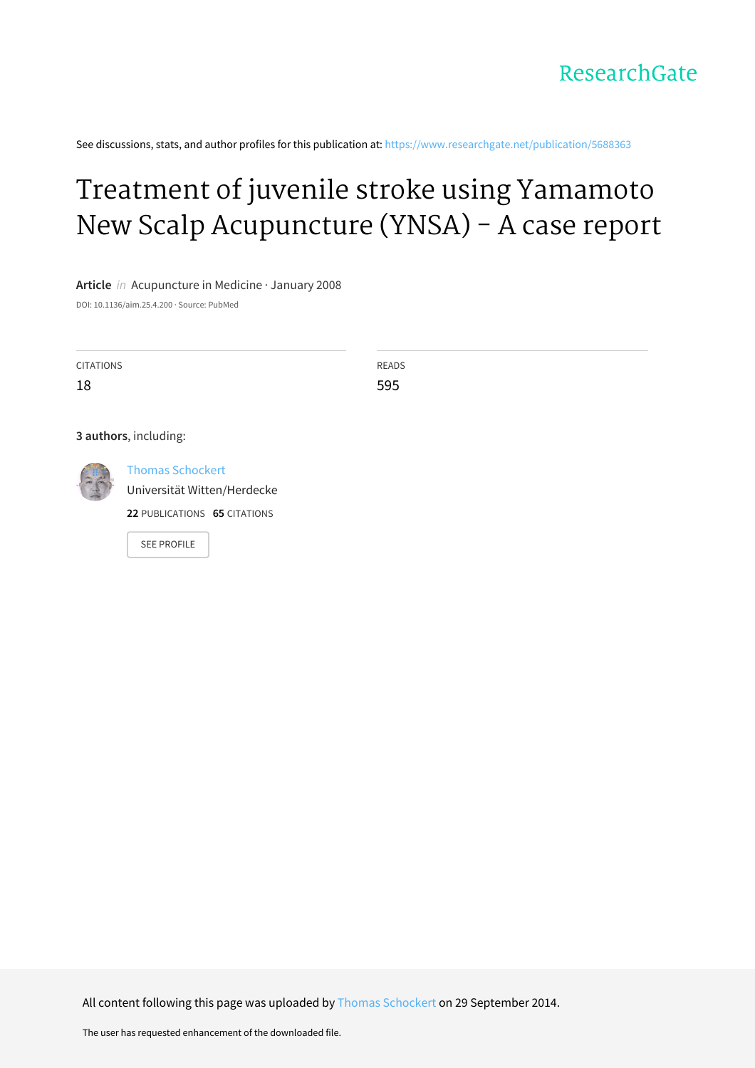

See discussions, stats, and author profiles for this publication at: [https://www.researchgate.net/publication/5688363](https://www.researchgate.net/publication/5688363_Treatment_of_juvenile_stroke_using_Yamamoto_New_Scalp_Acupuncture_YNSA_-_A_case_report?enrichId=rgreq-fc18d043cb1631e731f313092e1bbdd3-XXX&enrichSource=Y292ZXJQYWdlOzU2ODgzNjM7QVM6MTQ2NzE1OTU3MDEwNDMyQDE0MTE5OTEyMTg0NTM%3D&el=1_x_2&_esc=publicationCoverPdf)

### Treatment of juvenile stroke using Yamamoto New Scalp [Acupuncture](https://www.researchgate.net/publication/5688363_Treatment_of_juvenile_stroke_using_Yamamoto_New_Scalp_Acupuncture_YNSA_-_A_case_report?enrichId=rgreq-fc18d043cb1631e731f313092e1bbdd3-XXX&enrichSource=Y292ZXJQYWdlOzU2ODgzNjM7QVM6MTQ2NzE1OTU3MDEwNDMyQDE0MTE5OTEyMTg0NTM%3D&el=1_x_3&_esc=publicationCoverPdf) (YNSA) - A case report

**Article** in Acupuncture in Medicine · January 2008

DOI: 10.1136/aim.25.4.200 · Source: PubMed

| <b>CITATIONS</b>                            | READS |  |
|---------------------------------------------|-------|--|
|                                             |       |  |
| 18                                          | 595   |  |
|                                             |       |  |
|                                             |       |  |
| 3 authors, including:                       |       |  |
|                                             |       |  |
| <b>Thomas Schockert</b><br><b>ARCHITECT</b> |       |  |

Thomas [Schockert](https://www.researchgate.net/profile/Thomas_Schockert?enrichId=rgreq-fc18d043cb1631e731f313092e1bbdd3-XXX&enrichSource=Y292ZXJQYWdlOzU2ODgzNjM7QVM6MTQ2NzE1OTU3MDEwNDMyQDE0MTE5OTEyMTg0NTM%3D&el=1_x_5&_esc=publicationCoverPdf)

Universität [Witten/Herdecke](https://www.researchgate.net/institution/Universitaet_Witten_Herdecke?enrichId=rgreq-fc18d043cb1631e731f313092e1bbdd3-XXX&enrichSource=Y292ZXJQYWdlOzU2ODgzNjM7QVM6MTQ2NzE1OTU3MDEwNDMyQDE0MTE5OTEyMTg0NTM%3D&el=1_x_6&_esc=publicationCoverPdf)

**22** PUBLICATIONS **65** CITATIONS

SEE [PROFILE](https://www.researchgate.net/profile/Thomas_Schockert?enrichId=rgreq-fc18d043cb1631e731f313092e1bbdd3-XXX&enrichSource=Y292ZXJQYWdlOzU2ODgzNjM7QVM6MTQ2NzE1OTU3MDEwNDMyQDE0MTE5OTEyMTg0NTM%3D&el=1_x_7&_esc=publicationCoverPdf)

All content following this page was uploaded by Thomas [Schockert](https://www.researchgate.net/profile/Thomas_Schockert?enrichId=rgreq-fc18d043cb1631e731f313092e1bbdd3-XXX&enrichSource=Y292ZXJQYWdlOzU2ODgzNjM7QVM6MTQ2NzE1OTU3MDEwNDMyQDE0MTE5OTEyMTg0NTM%3D&el=1_x_10&_esc=publicationCoverPdf) on 29 September 2014.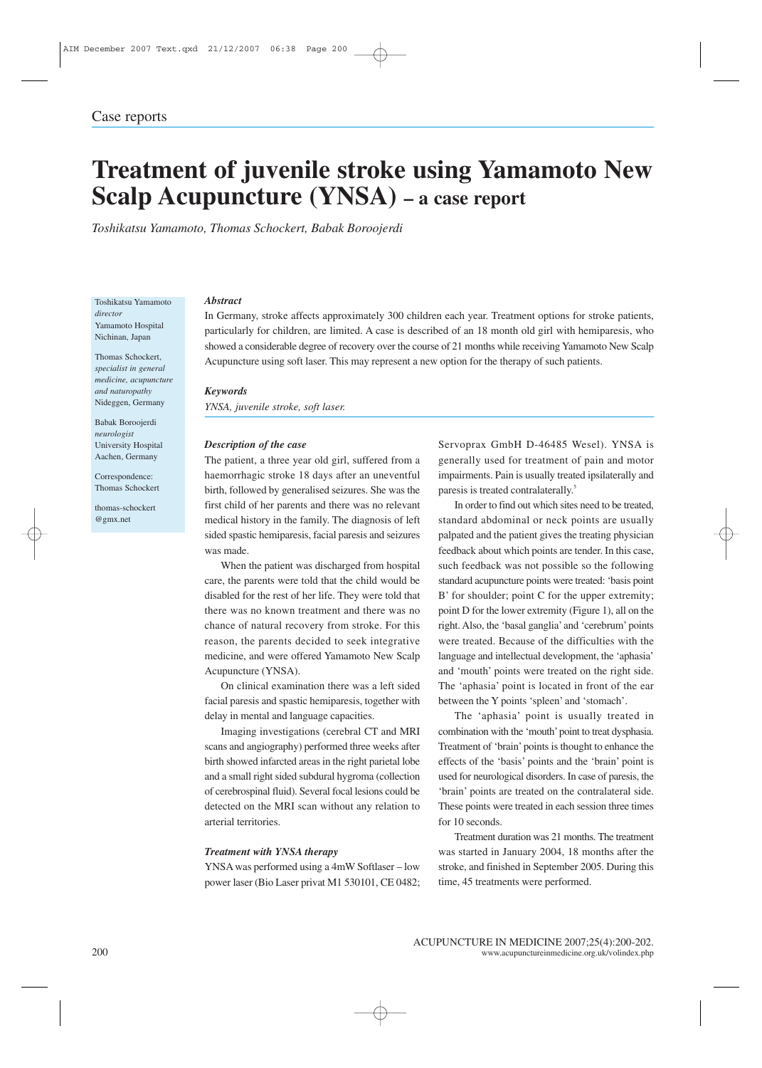## **of juvenile stroke using Yamamoto New Acupuncture (YNSA) – <sup>a</sup> case report** *Toshikatsu<i>YASA*) – a case report *Toshikatsu Yamamoto, Thomas Schockert, Babak Boroojerdi*

#### Toshikatsu Yamamoto Yamamc<br>Hospital Toshikatsu Yam<br>*director*<br>Yamamoto Hos<sub>l</sub><br>Nichinan, Japan  $d$ irector school<br>Schockert,<br>Schockert, **Nichinan**, Japan

*i*<br>*i* Japan<br>*Schockert,<br><i>in general* Japan<br>*i*chockert,<br>*in general*<br>*acupuncture* **Thomas Schocke**<br>*specialist in gen*<br>*medicine*, *acupu*<br>*and naturopathy* chockert,<br>in general<br>acupuncti<br>ppathy<br>Germany medicine, acupuncture *instrustered*<br>*ine, acupun*<br>*sturopathy*<br>Boroojerdi *and naturopathy* Arab<sub>be</sub>r

**Example Hospital**<br>Nideggen, Germany<br>Babak Boroojerdi<br>*neurologist*<br>University Hospital 3<br>60000jerdi<br>*gist*<br>ity Hospit:<br>Germany Babak Boroojerdi<br>neurologist *Thomas Schockert*<br>Aachen, Germany<br>Correspondence:<br>Thomas Schockert Aachen, Germany

Correspondence:

thomas-schockert @gmx.net

#### Abstract

**Example 31**<br>Germany, stroke affects approximately 300 children each year. Treatment options for stroke patients, For children, are limited. A case is described of an 18 month old girl with hemiparesis, who or the affects approximately 300 children each year. Treatment options for stroke patients,<br>arly for children, are limited. A case is described of an 18 month old girl with hemiparesis, who<br>a considerable degree of recover Abstract<br>In Germany, stroke affects approximately 300 children each year. Treatment options for stro<br>particularly for children, are limited. A case is described of an 18 month old girl with hemip<br>showed a considerable degr *YNSA, juvenile stroke, soft laser.*

impairments.<br>Paint and the paint of the paint of the paint of the paint of the paint of the paint of the paint of the paint

#### **Keywords**

*PNSA*, *juvenile stroke*, *s*<br> *Description of the case*  $\frac{1}{\sqrt{1-\frac{1}{2}}\cdot\frac{1}{\sqrt{1-\frac{1}{2}}\cdot\frac{1}{\sqrt{1-\frac{1}{2}}\cdot\frac{1}{\sqrt{1-\frac{1}{2}}\cdot\frac{1}{\sqrt{1-\frac{1}{2}}\cdot\frac{1}{\sqrt{1-\frac{1}{2}}\cdot\frac{1}{\sqrt{1-\frac{1}{2}}\cdot\frac{1}{\sqrt{1-\frac{1}{2}}\cdot\frac{1}{\sqrt{1-\frac{1}{2}}\cdot\frac{1}{\sqrt{1-\frac{1}{2}}\cdot\frac{1}{\sqrt{1-\frac{1}{2}}\cdot\frac{1}{\sqrt{1-\frac{1}{2}}\cdot\frac{1$ 

#### Description of the case

 $\mathbb{R}$ , juvenile stroke, soft laser.<br> **cription of the case**<br>
patient, a three year old girl, suffered from a f the case<br>three year old girl, suffered from a<br>stroke 18 days after an uneventful *ription of the case*<br>patient, a three year old girl, suffered from a<br>orrhagic stroke 18 days after an uneventful<br>followed by generalised seizures. She was the **cription of the case**<br>patient, a three year old girl, suffered from a<br>morrhagic stroke 18 days after an uneventful<br>n, followed by generalised seizures. She was the<br>child of her parents and there was no relevant The pat ient, a three year old girl, suffered from a<br>rhagic stroke 18 days after an uneventful<br>llowed by generalised seizures. She was the<br>ld of her parents and there was no relevant<br>history in the family. The diagnosis of left haem spaces in the space of the minimal followed by generalised seizures. She was the child of her parents and there was no relevant cal history in the family. The diagnosis of left spastic hemiparesis, facial paresis and seizu birth, followed by generalised seizures. She was the h, follo<br>child<br>lical hi<br>d spast<br>made. t child of her parents and there was no relevant<br>istory in the family. The diagnosis of left<br>tic hemiparesis, facial paresis and seizures<br>.<br>the patient was discharged from hospital medical history in the family. The diagnosis of left<br>sided spastic hemiparesis, facial paresis and seizures<br>was made.<br>When the patient was discharged from hospital<br>care, the parents were told that the child would be sided spastic hemiparesis, facial paresis and seizures was made.

for the rest of her life.<br>For the patient was discharged from hospital<br>the parents were told that the child would be<br>for the rest of her life. They were told that made.<br>Vhen the patient was discharged from hospital<br>the parents were told that the child would be<br>led for the rest of her life. They were told that<br>was no known treatment and there was no When the patient was discharged from hospital en the patient was discharged from hospital<br>a parents were told that the child would be<br>d for the rest of her life. They were told that<br>vas no known treatment and there was no<br>of natural recovery from stroke. For this care, the parents were told that the child would be<br>disabled for the rest of her life. They were told that<br>there was no known treatment and there was no<br>chance of natural recovery from stroke. For this<br>reason, the parents disabled for the rest of her life. They were told that For the rest of her life. They were told that<br>is no known treatment and there was no<br>f natural recovery from stroke. For this<br>he parents decided to seek integrative<br>and were offered Yamamoto New Scalp there was no known treatment and there was no (*x*) known the section of the section of the section of the section of the section of the section of the section of the section of the section of the section of the section of the section of the section of the section of nce of natural recovery from stroke. For this<br>son, the parents decided to seek integrative<br>licine, and were offered Yamamoto New Scalp<br>puncture (YNSA).<br>On clinical examination there was a left sided reason, the parents decided to seek integrative m, the parents decided to seek integrative<br>cine, and were offered Yamamoto New Scalp<br>uncture (YNSA).<br>In clinical examination there was a left sided<br>paresis and spastic hemiparesis, together with medio Acupuncture (YNSA).

in mental and were offered Yamamoto 1<br>
uncture (YNSA).<br>
In clinical examination there was a<br>
paresis and spastic hemiparesis, to<br>
in mental and language canacities. EXET (YNSA).<br>
Seal examination there was a left sided<br>
Seand spastic hemiparesis, together with<br>
tal and language capacities.<br>
investigations (cerebral CT and MRI  $\overline{C}$ In clinical examination there was a left sided<br>paresis and spastic hemiparesis, together with<br>in mental and language capacities.<br>maging investigations (cerebral CT and MRI<br>and angiography) performed three weeks after facial paresis and spastic hemiparesis, together with delay in mental and language capacities.

I paresis and spastic hemiparesis, together with<br>y in mental and language capacities.<br>maging investigations (cerebral CT and MRI<br>s and angiography) performed three weeks after<br>showed infarcted areas in the right parietal l a small right sided subdural and language capacities.<br>
Imaging investigations (cerebral CT and MRI<br>
Ins and angiography) performed three weeks after<br>
h showed infarcted areas in the right parietal lobe<br>
a small right sided Imaging investigations (cerebral CT and MRI<br>ans and angiography) performed three weeks after<br>th showed infarcted areas in the right parietal lobe<br>d a small right sided subdural hygroma (collection<br>cerebrospinal fluid). Sev scans and d angiography) performed three weeks after<br>wed infarcted areas in the right parietal lobe<br>all right sided subdural hygroma (collection<br>ospinal fluid). Several focal lesions could be<br>on the MRI scan without any relation to birth showed infarcted areas in the right parietal lobe the infamall right single<br>the prospinal flu<br>d on the M<br>territories. detected on the MRI scan without any relation to<br> *Treatment with YNSA therapy*<br>
YNSA was performed using a 4mW Softlaser – low arterial territories.

#### **Treatment with YNSA therapy**

YNSA was performed using a 4mW Softlaser – low<br>power laser (Bio Laser privat M1 530101, CE 0482;

 GmbH D-46485 Wesel). YNSA is x GmbH D-46485 Wesel). YNSA is<br>used for treatment of pain and motor H D-46485 Wesel). YNSA is<br>or treatment of pain and motor<br>is usually treated ipsilaterally and prax GmbH D-46485<br>illy used for treatment<br>ments. Pain is usually trea<br>is treated contralaterally. generally used for treatment o paresis is treated contralaterally.<sup>5</sup> voprax GmbH D-46485 Wesel). YNSA is<br>erally used for treatment of pain and motor<br>airments. Pain is usually treated ipsilaterally and<br>esis is treated contralaterally.<sup>5</sup><br>In order to find out which sites need to be treated. by used for treatment of pain and motor<br>nnts. Pain is usually treated ipsilaterally and<br>treated contralaterally.<sup>5</sup><br>ler to find out which sites need to be treated,<br>abdominal or neck points are usually impairments. Pain is usually treated ipsilaterally and

ents. Pain is usually treated ipsilaterally and<br>s treated contralaterally.<sup>5</sup><br>der to find out which sites need to be treated,<br>d abdominal or neck points are usually<br>and the patient gives the treating physician is treated contralaterally.<sup>5</sup><br>der to find out which sites need to be treated,<br>1 abdominal or neck points are usually<br>and the patient gives the treating physician<br>about which points are tender. In this case,  $\blacksquare$ In order to find out which sites need to be treated,<br>dard abdominal or neck points are usually<br>ated and the patient gives the treating physician<br>back about which points are tender. In this case,<br>feedback was not possible s standar d abdominal or neck points are usually<br>and the patient gives the treating physician<br>k about which points are tender. In this case,<br>edback was not possible so the following<br>acupuncture points were treated: 'basis point palpated and the patient gives the treating physician lpated and the patient gives the treating physician<br>edback about which points are tender. In this case,<br>ch feedback was not possible so the following<br>mdard acupuncture points were treated: 'basis point<br>for shoulder: point feedb back about which points are tender. In this case, feedback was not possible so the following ard acupuncture points were treated: 'basis point r shoulder; point C for the upper extremity; D for the lower extremity (Figure such feedback was not possible so the following feedback was not possible so the following<br>ard acupuncture points were treated: 'basis point<br>r shoulder; point C for the upper extremity;<br>D for the lower extremity (Figure 1), all on the<br>Also, the 'basal ganglia' and 'cere standard acupuncture points were treated: 'basis point B' for shoulder; point C for the upper extremity;<br>point D for the lower extremity (Figure 1), all on the<br>right. Also, the 'basal ganglia' and 'cerebrum' points<br>were tr B' for shoulder; point C for the upper extremity; and intellectual development conductor the lower extremity (Figure 1), all on the io, the 'basal ganglia' and 'cerebrum' points ated. Because of the difficulties with the and intellectual development, the 'aphasia' point D for the lower extremity (Figure 1), all on the the D for the lower extremity (Figure 1), all on the the the the the the the side of the difficulties with the right side.<br>Secause of the difficulties with the right side.<br>The right side. The right side. right. Also, the 'basal ganglia' and 'cerebrum' points t. Also, the 'basal ganglia' and 'cerebrum' points<br>
e treated. Because of the difficulties with the<br>
uage and intellectual development, the 'aphasia'<br>
'mouth' points were treated on the right side.<br>
'aphasia' point is loca were tre ated. Because of the difficulties wiperated.<br>
A and intellectual development, the 'apputh' points were treated on the right<br>
hasia' point is located in front of the Y points 'spleen' and 'stomach'. language and intellectual development, the 'aphasia' e and intellectual development, the 'aphasia'<br>
buth' points were treated on the right side.<br>
hasia' point is located in front of the ear<br>
ithe Y points 'spleen' and 'stomach'.<br>
'aphasia' point is usually treated in and 'mouth' points were treated on the right side. The 'mouth' is located on the right side.<br>
ia' point is located in front of the ear<br>
"Y points 'spleen' and 'stomach'.<br>
phasia' point is usually treated in<br>
with the 'mouth' point to treat dysphasia. The 'apha between the Y points 'spleen' and 'stomach'.

asia' point is located in front of the ear<br>he Y points 'spleen' and 'stomach'.<br>aphasia' point is usually treated in<br>on with the 'mouth' point to treat dysphasia.<br>of 'brain' points is thought to enhance the en the Y points 'spleen' and 'stomach'.<br>
e 'aphasia' point is usually treated in<br>
the 'mouth' point to treat dysphasia.<br>
hent of 'brain' points is thought to enhance the<br>
of the 'basis' points and the 'brain' point is The 'aphasia' point is usually treated in The 'aphasia' point is usually treated in<br>bination with the 'mouth' point to treat dysphasia.<br>tment of 'brain' points is thought to enhance the<br>ts of the 'basis' points and the 'brain' point is<br>for neurological disorders. combin ation with the 'mouth' point to treat dysphasia.<br>
eent of 'brain' points is thought to enhance the<br>
of the 'basis' points and the 'brain' point is<br>
r neurological disorders. In case of paresis, the<br>
points are treated on t Treatr ment of 'brain' points is thought to enhance the<br>s of the 'basis' points and the 'brain' point is<br>for neurological disorders. In case of paresis, the<br>invies are treated on the contralateral side.<br>points were treated in eac effects of the 'basis' points and the 'brain' point is ects of the 'lead for neurology<br>
10 seconds.<br>
10 seconds. used for neurological disorders. In case of paresis, the logical disorders. In case of paresis, the<br>are treated on the contralateral side.<br>were treated in each session three times<br>s.<br>duration was 21 months. The treatment 'bra in' points are treated on the contralateral side.<br>se points were treated in each session three times<br>10 seconds.<br>Treatment duration was 21 months. The treatment<br>started in January 2004. 18 months after the These for 10 seconds.

points were treated in each session three times<br>seconds.<br>aatment duration was 21 months. The treatment<br>arted in January 2004, 18 months after the<br>and finished in September 2005. During this 9 seconds.<br>
Freatment duration was 21 months<br>
Started in January 2004, 18 m<br>
e, and finished in September 20<br>
45 treatments were performed. time, 45 treatments were performed.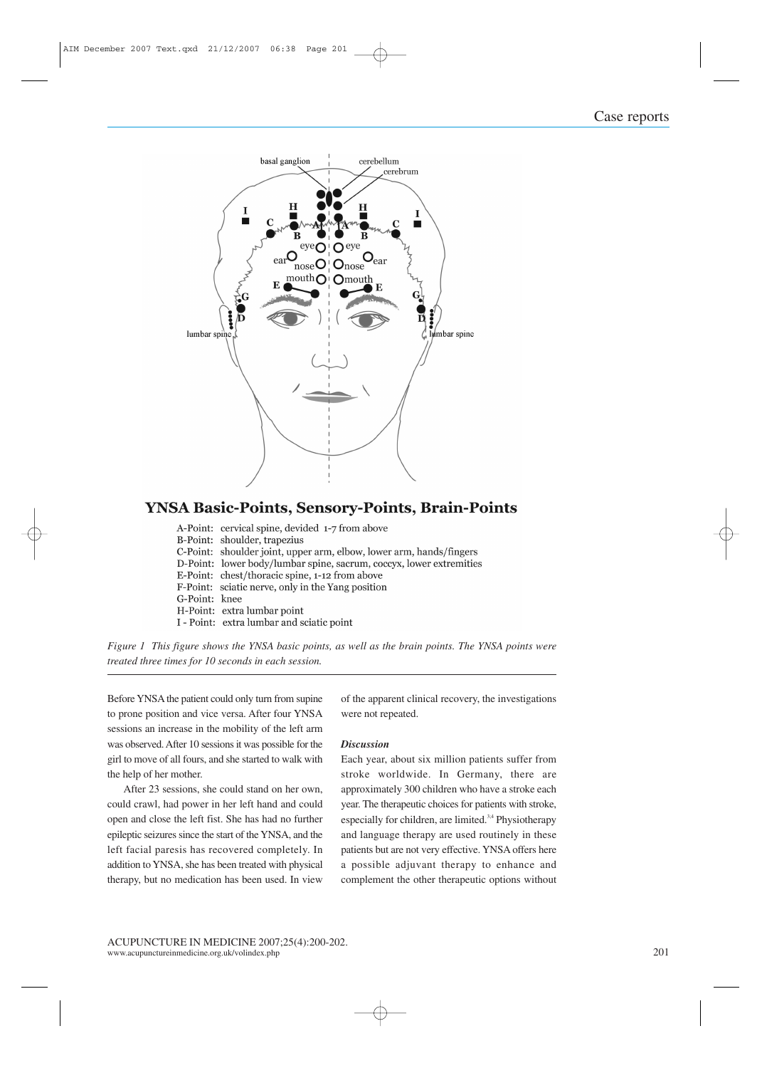

#### **YNSA Basic-Points, Sensory-Points, Brain-Points**

A-Point: cervical spine, devided 1-7 from above B-Point: shoulder, trapezius C-Point: shoulder joint, upper arm, elbow, lower arm, hands/fingers D-Point: lower body/lumbar spine, sacrum, coccyx, lower extremities E-Point: chest/thoracic spine, 1-12 from above *<sup>1</sup> This figure shows the YNSA basic points, as well as the brain points. The YNSA points were*



position and three times for 10 seconds in each session.<br>Effore YNSA the patient could only turn from supine<br>prone position and vice versa. After four YNSA Find the massion.<br>The mobility of the mobility of the left arm<br>an increase in the mobility of the left arm ore YNSA the patient could only turn from supine<br>rone position and vice versa. After four YNSA<br>ions an increase in the mobility of the left arm<br>observed. After 10 sessions it was possible for the Befor EXTERT FOUR SET SERVING A HER FOR SUPER THE SPONGER POSITION And she says an increase in the mobility of the left arm<br>beding an increase in the mobility of the left arm<br>beding to walk with move of all fours, and she starte to prone position and vice versa. After four YNSA prone position and v<br>sions an increase in<br>s observed. After 10 is<br>to move of all fours<br>help of her mother. France in the mobility of the left arm<br>observed. After 10 sessions it was possible for the<br>to move of all fours, and she started to walk with<br>help of her mother.<br>After 23 sessions, she could stand on her own. was observed. After 10 sessions it was possible for the girl to move of all fours, and she started to walk with the help of her mother.

After 23 sessions, she could stand on her own, o move of all fours, and she started to walk with<br>elp of her mother.<br>After 23 sessions, she could stand on her own,<br>1 crawl, had power in her left hand and could<br>and close the left fist. She has had no further of her mother.<br>
In 23 sessions, she could stand on her own,<br>
sawl, had power in her left hand and could<br>
d close the left fist. She has had no further<br>
seizures since the start of the YNSA, and the After 23 sessions, she could stand on her own,<br>ld crawl, had power in her left hand and could<br>n and close the left fist. She has had no further<br>eptic seizures since the start of the YNSA, and the<br>facial paresis has recover could crawl, had power in her left hand and could<br>open and close the left fist. She has had no further<br>epileptic seizures since the start of the YNSA, and the<br>left facial paresis has recovered completely. In<br>addition to YN open and close the left fist. She has had no further epileptic seizures since the start of the YNSA, and the left facial paresis has recovered completely. In addition to YNSA, she has been treated with physical therapy, but no medication has been used. In view

not *as the branch points.* The TNBA points were<br>of the apparent clinical recovery, the investigations<br>were not repeated.<br>*Discussion*<br>Each year, about six million patients suffer from were not repeated.

#### **Discussion**

ot repeated.<br>
sion<br>
vear, about six million patients suffer from<br>
worldwide. In Germany, there are out six million patients suffer from<br>dwide. In Germany, there are<br>300 children who have a stroke each **Example 18**<br>The therapeutic choices suffer from<br>the worldwide. In Germany, there are<br>oximately 300 children who have a stroke each<br>The therapeutic choices for patients with stroke. Each year for children, about six million patients suffer from<br>vorldwide. In Germany, there are<br>ately 300 children who have a stroke each<br>herapeutic choices for patients with stroke,<br>for children, are limited.<sup>34</sup> Physiotherapy strc language therapy, there are roximately 300 children who have a stroke each r. The therapeutic choices for patients with stroke, ecially for children, are limited.<sup>34</sup> Physiotherapy language therapy are used routinely in th approxi mately 300 children who have a stroke each<br>he therapeutic choices for patients with stroke,<br>lly for children, are limited.<sup>3:4</sup> Physiotherapy<br>guage therapy are used routinely in these<br>but are not verv effective. YNSA offer y ear. The therapeutic choices for patients with stroke, specially for children, are limited.<sup>3,4</sup> Physiotherapy nd language therapy are used routinely in these atients but are not very effective. YNSA offers here possible a especially fo and language therapy are used routinely in these<br>patients but are not very effective. YNSA offers here<br>a possible adjuvant therapy to enhance and<br>complement the other therapeutic options without